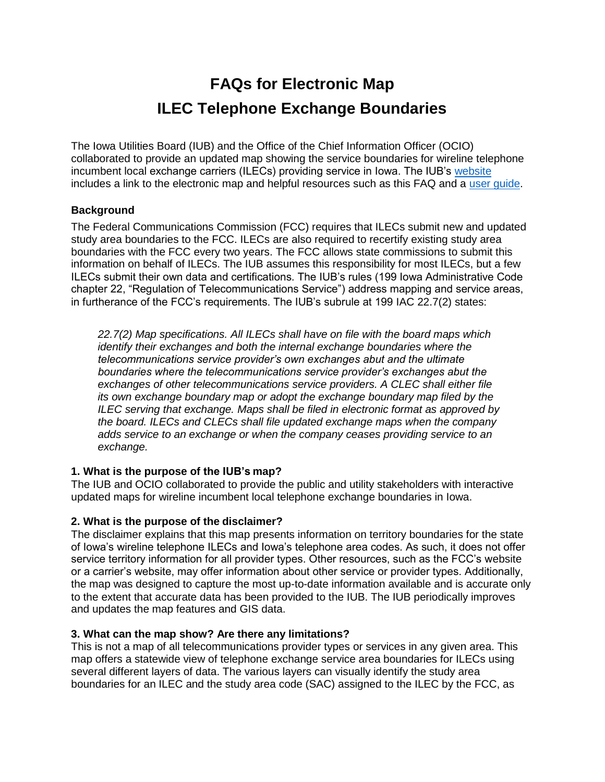# **FAQs for Electronic Map ILEC Telephone Exchange Boundaries**

The Iowa Utilities Board (IUB) and the Office of the Chief Information Officer (OCIO) collaborated to provide an updated map showing the service boundaries for wireline telephone incumbent local exchange carriers (ILECs) providing service in Iowa. The IUB's [website](https://iub.iowa.gov/online-services/view-utility-service-area-map) includes a link to the electronic map and helpful resources such as this FAQ and a [user guide.](https://iowageodata2.s3.us-east-2.amazonaws.com/_docs/User%20Guide%20-%20IUB%20-%20Incumbent%20Local%20Exchange%20Area%20Map.pdf)

## **Background**

The Federal Communications Commission (FCC) requires that ILECs submit new and updated study area boundaries to the FCC. ILECs are also required to recertify existing study area boundaries with the FCC every two years. The FCC allows state commissions to submit this information on behalf of ILECs. The IUB assumes this responsibility for most ILECs, but a few ILECs submit their own data and certifications. The IUB's rules (199 Iowa Administrative Code chapter 22, "Regulation of Telecommunications Service") address mapping and service areas, in furtherance of the FCC's requirements. The IUB's subrule at 199 IAC 22.7(2) states:

*22.7(2) Map specifications. All ILECs shall have on file with the board maps which identify their exchanges and both the internal exchange boundaries where the telecommunications service provider's own exchanges abut and the ultimate boundaries where the telecommunications service provider's exchanges abut the exchanges of other telecommunications service providers. A CLEC shall either file its own exchange boundary map or adopt the exchange boundary map filed by the ILEC serving that exchange. Maps shall be filed in electronic format as approved by the board. ILECs and CLECs shall file updated exchange maps when the company adds service to an exchange or when the company ceases providing service to an exchange.*

## **1. What is the purpose of the IUB's map?**

The IUB and OCIO collaborated to provide the public and utility stakeholders with interactive updated maps for wireline incumbent local telephone exchange boundaries in Iowa.

# **2. What is the purpose of the disclaimer?**

The disclaimer explains that this map presents information on territory boundaries for the state of Iowa's wireline telephone ILECs and Iowa's telephone area codes. As such, it does not offer service territory information for all provider types. Other resources, such as the FCC's website or a carrier's website, may offer information about other service or provider types. Additionally, the map was designed to capture the most up-to-date information available and is accurate only to the extent that accurate data has been provided to the IUB. The IUB periodically improves and updates the map features and GIS data.

# **3. What can the map show? Are there any limitations?**

This is not a map of all telecommunications provider types or services in any given area. This map offers a statewide view of telephone exchange service area boundaries for ILECs using several different layers of data. The various layers can visually identify the study area boundaries for an ILEC and the study area code (SAC) assigned to the ILEC by the FCC, as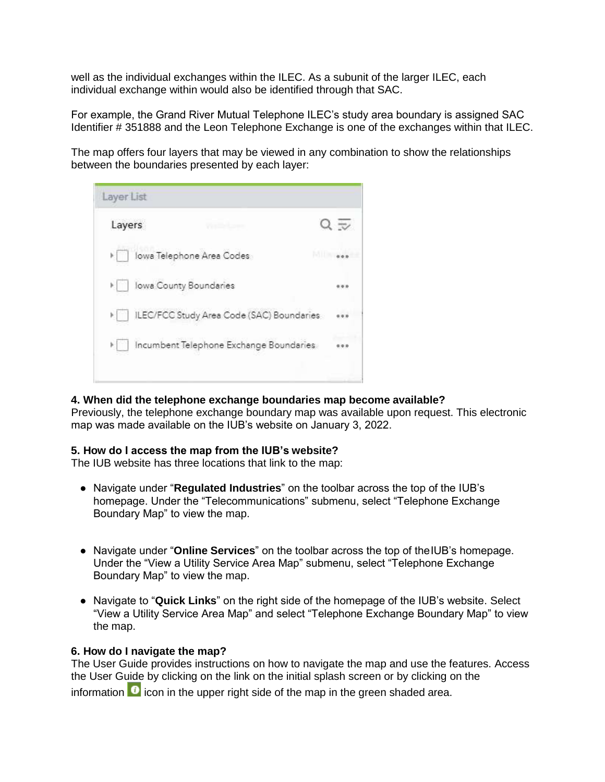well as the individual exchanges within the ILEC. As a subunit of the larger ILEC, each individual exchange within would also be identified through that SAC.

For example, the Grand River Mutual Telephone ILEC's study area boundary is assigned SAC Identifier # 351888 and the Leon Telephone Exchange is one of the exchanges within that ILEC.

The map offers four layers that may be viewed in any combination to show the relationships between the boundaries presented by each layer:



## **4. When did the telephone exchange boundaries map become available?**

Previously, the telephone exchange boundary map was available upon request. This electronic map was made available on the IUB's website on January 3, 2022.

#### **5. How do I access the map from the IUB's website?**

The IUB website has three locations that link to the map:

- Navigate under "**Regulated Industries**" on the toolbar across the top of the IUB's homepage. Under the "Telecommunications" submenu, select "Telephone Exchange Boundary Map" to view the map.
- Navigate under "**Online Services**" on the toolbar across the top of theIUB's homepage. Under the "View a Utility Service Area Map" submenu, select "Telephone Exchange Boundary Map" to view the map.
- Navigate to "**Quick Links**" on the right side of the homepage of the IUB's website. Select "View a Utility Service Area Map" and select "Telephone Exchange Boundary Map" to view the map.

#### **6. How do I navigate the map?**

The User Guide provides instructions on how to navigate the map and use the features. Access the User Guide by clicking on the link on the initial splash screen or by clicking on the information  $\bullet$  icon in the upper right side of the map in the green shaded area.